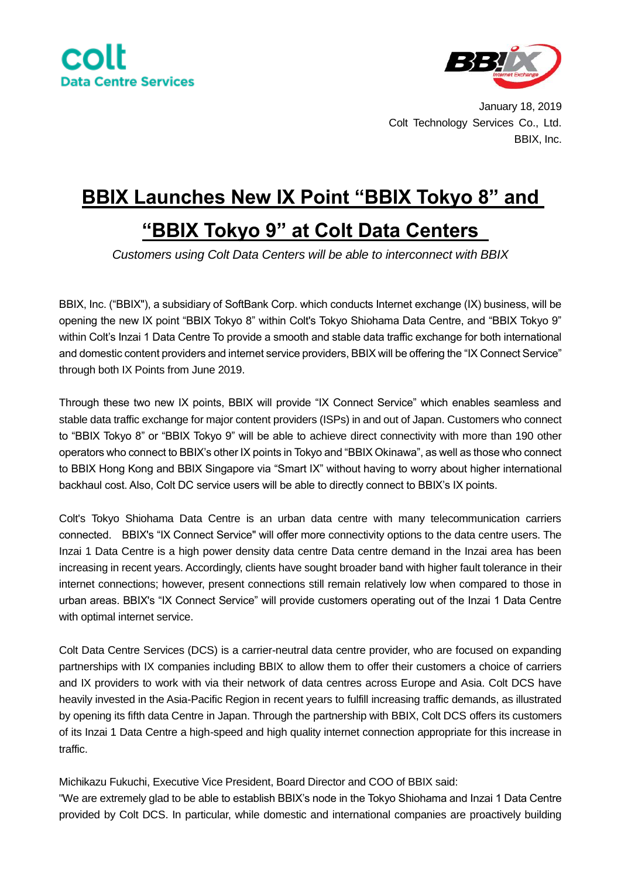



January 18, 2019 Colt Technology Services Co., Ltd. BBIX, Inc.

## **BBIX Launches New IX Point "BBIX Tokyo 8" and "BBIX Tokyo 9" at Colt Data Centers**

*Customers using Colt Data Centers will be able to interconnect with BBIX*

BBIX, Inc. ("BBIX"), a subsidiary of SoftBank Corp. which conducts Internet exchange (IX) business, will be opening the new IX point "BBIX Tokyo 8" within Colt's Tokyo Shiohama Data Centre, and "BBIX Tokyo 9" within Colt's Inzai 1 Data Centre To provide a smooth and stable data traffic exchange for both international and domestic content providers and internet service providers, BBIX will be offering the "IX Connect Service" through both IX Points from June 2019.

Through these two new IX points, BBIX will provide "IX Connect Service" which enables seamless and stable data traffic exchange for major content providers (ISPs) in and out of Japan. Customers who connect to "BBIX Tokyo 8" or "BBIX Tokyo 9" will be able to achieve direct connectivity with more than 190 other operators who connect to BBIX's other IX points in Tokyo and "BBIX Okinawa", as well as those who connect to BBIX Hong Kong and BBIX Singapore via "Smart IX" without having to worry about higher international backhaul cost. Also, Colt DC service users will be able to directly connect to BBIX's IX points.

Colt's Tokyo Shiohama Data Centre is an urban data centre with many telecommunication carriers connected. BBIX's "IX Connect Service" will offer more connectivity options to the data centre users. The Inzai 1 Data Centre is a high power density data centre Data centre demand in the Inzai area has been increasing in recent years. Accordingly, clients have sought broader band with higher fault tolerance in their internet connections; however, present connections still remain relatively low when compared to those in urban areas. BBIX's "IX Connect Service" will provide customers operating out of the Inzai 1 Data Centre with optimal internet service.

Colt Data Centre Services (DCS) is a carrier-neutral data centre provider, who are focused on expanding partnerships with IX companies including BBIX to allow them to offer their customers a choice of carriers and IX providers to work with via their network of data centres across Europe and Asia. Colt DCS have heavily invested in the Asia-Pacific Region in recent years to fulfill increasing traffic demands, as illustrated by opening its fifth data Centre in Japan. Through the partnership with BBIX, Colt DCS offers its customers of its Inzai 1 Data Centre a high-speed and high quality internet connection appropriate for this increase in traffic.

Michikazu Fukuchi, Executive Vice President, Board Director and COO of BBIX said:

"We are extremely glad to be able to establish BBIX's node in the Tokyo Shiohama and Inzai 1 Data Centre provided by Colt DCS. In particular, while domestic and international companies are proactively building